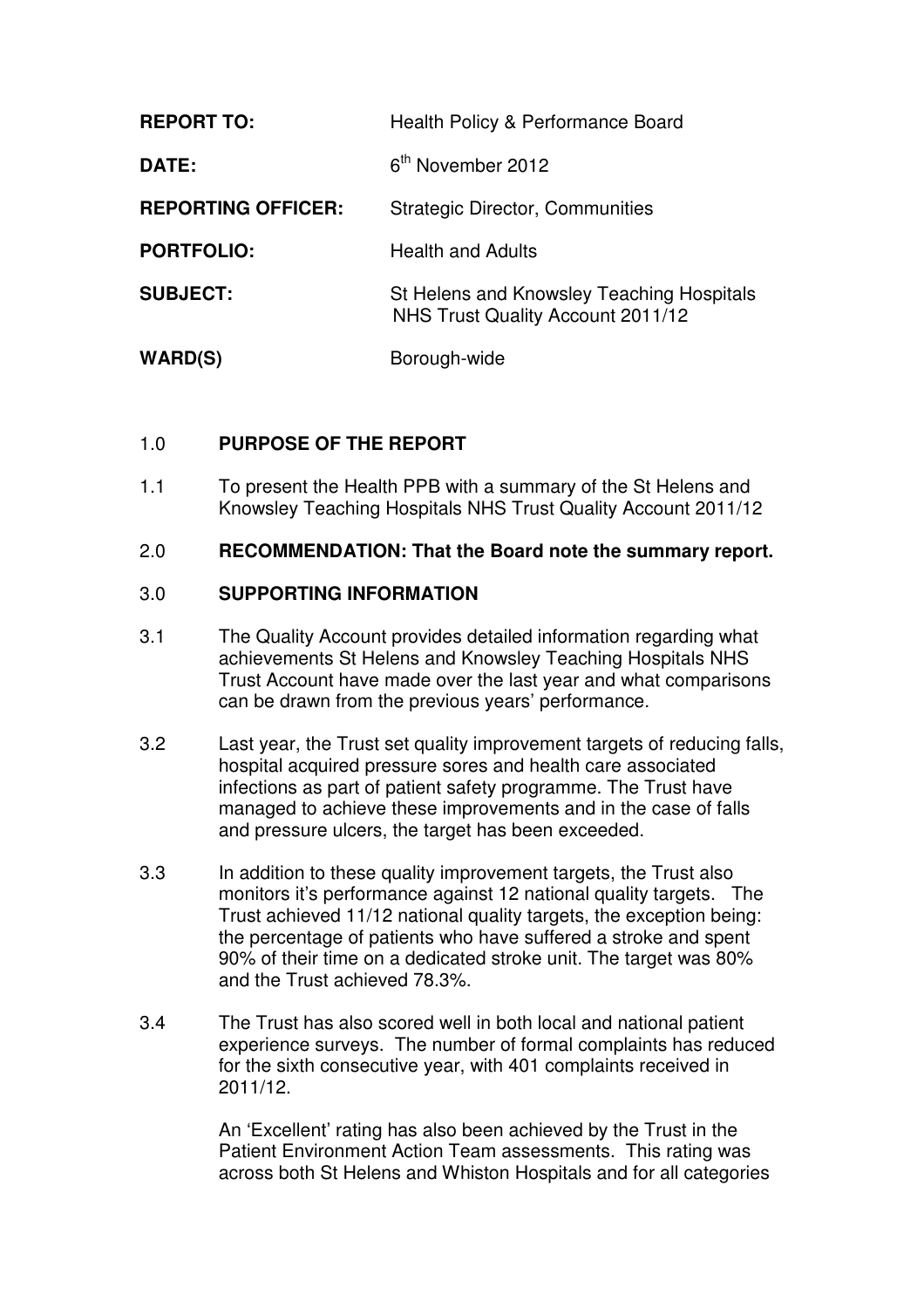| <b>REPORT TO:</b>         | Health Policy & Performance Board                                              |
|---------------------------|--------------------------------------------------------------------------------|
| DATE:                     | 6 <sup>th</sup> November 2012                                                  |
| <b>REPORTING OFFICER:</b> | <b>Strategic Director, Communities</b>                                         |
| <b>PORTFOLIO:</b>         | <b>Health and Adults</b>                                                       |
| <b>SUBJECT:</b>           | St Helens and Knowsley Teaching Hospitals<br>NHS Trust Quality Account 2011/12 |
| WARD(S)                   | Borough-wide                                                                   |

## 1.0 **PURPOSE OF THE REPORT**

1.1 To present the Health PPB with a summary of the St Helens and Knowsley Teaching Hospitals NHS Trust Quality Account 2011/12

### 2.0 **RECOMMENDATION: That the Board note the summary report.**

### 3.0 **SUPPORTING INFORMATION**

- 3.1 The Quality Account provides detailed information regarding what achievements St Helens and Knowsley Teaching Hospitals NHS Trust Account have made over the last year and what comparisons can be drawn from the previous years' performance.
- 3.2 Last year, the Trust set quality improvement targets of reducing falls, hospital acquired pressure sores and health care associated infections as part of patient safety programme. The Trust have managed to achieve these improvements and in the case of falls and pressure ulcers, the target has been exceeded.
- 3.3 In addition to these quality improvement targets, the Trust also monitors it's performance against 12 national quality targets. The Trust achieved 11/12 national quality targets, the exception being: the percentage of patients who have suffered a stroke and spent 90% of their time on a dedicated stroke unit. The target was 80% and the Trust achieved 78.3%.
- 3.4 The Trust has also scored well in both local and national patient experience surveys. The number of formal complaints has reduced for the sixth consecutive year, with 401 complaints received in 2011/12.

An 'Excellent' rating has also been achieved by the Trust in the Patient Environment Action Team assessments. This rating was across both St Helens and Whiston Hospitals and for all categories